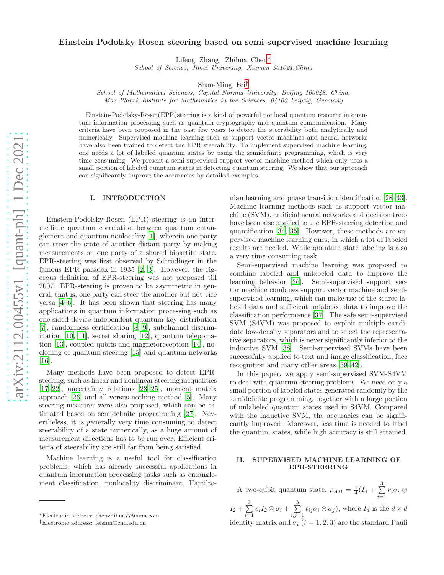# Einstein-Podolsky-Rosen steering based on semi-supervised machine learning

Lifeng Zhang, Zhihua Chen[∗](#page-0-0)

School of Science, Jimei University, Xiamen 361021,China

Shao-Ming Fei[†](#page-0-1)

School of Mathematical Sciences, Capital Normal University, Beijing 100048, China, Max Planck Institute for Mathematics in the Sciences, 04103 Leipzig, Germany

Einstein-Podolsky-Rosen(EPR)steering is a kind of powerful nonlocal quantum resource in quantum information processing such as quantum cryptography and quantum communication. Many criteria have been proposed in the past few years to detect the steerability both analytically and numerically. Supervised machine learning such as support vector machines and neural networks have also been trained to detect the EPR steerability. To implement supervised machine learning, one needs a lot of labeled quantum states by using the semidefinite programming, which is very time consuming. We present a semi-supervised support vector machine method which only uses a small portion of labeled quantum states in detecting quantum steering. We show that our approach can significantly improve the accuracies by detailed examples.

## I. INTRODUCTION

Einstein-Podolsky-Rosen (EPR) steering is an intermediate quantum correlation between quantum entanglement and quantum nonlocality [\[1\]](#page-6-0), wherein one party can steer the state of another distant party by making measurements on one party of a shared bipartite state. EPR-steering was first observed by Schrödinger in the famous EPR paradox in 1935 [\[2,](#page-6-1) [3\]](#page-6-2). However, the rigorous definition of EPR-steering was not proposed till 2007. EPR-steering is proven to be asymmetric in general, that is, one party can steer the another but not vice versa [\[4](#page-6-3)[–6](#page-6-4)]. It has been shown that steering has many applications in quantum information processing such as one-sided device independent quantum key distribution [\[7\]](#page-6-5), randomness certification [\[8](#page-6-6), [9\]](#page-6-7), subchannel discrimination [\[10](#page-6-8), [11\]](#page-6-9), secret sharing [\[12\]](#page-7-0), quantum teleportation [\[13](#page-7-1)], coupled qubits and magnetoreception [\[14](#page-7-2)], nocloning of quantum steering [\[15](#page-7-3)] and quantum networks [\[16\]](#page-7-4).

Many methods have been proposed to detect EPRsteering, such as linear and nonlinear steering inequalities [\[17](#page-7-5)[–22\]](#page-7-6), uncertainty relations [\[23](#page-7-7)[–25](#page-7-8)], moment matrix approach [\[26](#page-7-9)] and all-versus-nothing method [\[5\]](#page-6-10). Many steering measures were also proposed, which can be estimated based on semidefinite programming [\[27](#page-7-10)]. Nevertheless, it is generally very time consuming to detect steerability of a state numerically, as a huge amount of measurement directions has to be run over. Efficient criteria of steerability are still far from being satisfied.

Machine learning is a useful tool for classification problems, which has already successful applications in quantum information processing tasks such as entanglement classification, nonlocality discriminant, Hamiltonian learning and phase transition identification [\[28](#page-7-11)[–33\]](#page-7-12). Machine learning methods such as support vector machine (SVM), artificial neural networks and decision trees have been also applied to the EPR-steering detection and quantification [\[34](#page-7-13), [35](#page-7-14)]. However, these methods are supervised machine learning ones, in which a lot of labeled results are needed. While quantum state labeling is also a very time consuming task.

Semi-supervised machine learning was proposed to combine labeled and unlabeled data to improve the learning behavior [36]. Semi-supervised support vector machine combines support vector machine and semisupervised learning, which can make use of the scarce labeled data and sufficient unlabeled data to improve the classification performance [\[37](#page-7-15)]. The safe semi-supervised SVM (S4VM) was proposed to exploit multiple candidate low-density separators and to select the representative separators, which is never significantly inferior to the inductive SVM [\[38](#page-7-16)]. Semi-supervised SVMs have been successfully applied to text and image classification, face recognition and many other areas [\[39](#page-7-17)[–42](#page-7-18)].

In this paper, we apply semi-supervised SVM-S4VM to deal with quantum steering problems. We need only a small portion of labeled states generated randomly by the semidefinite programming, together with a large portion of unlabeled quantum states used in S4VM. Compared with the inductive SVM, the accuracies can be significantly improved. Moreover, less time is needed to label the quantum states, while high accuracy is still attained.

## II. SUPERVISED MACHINE LEARNING OF EPR-STEERING

A two-qubit quantum state,  $\rho_{AB} = \frac{1}{4}(I_4 + \sum_{i=1}^{3}$  $\sum_{i=1} r_i \sigma_i \otimes$  $I_2 + \sum_{ }^3$  $\sum_{i=1}^3 s_i I_2 \otimes \sigma_i + \sum_{i,j=1}^3$  $\sum_{i,j=1} t_{ij} \sigma_i \otimes \sigma_j$ , where  $I_d$  is the  $d \times d$ identity matrix and  $\sigma_i$  (i = 1, 2, 3) are the standard Pauli

<span id="page-0-0"></span><sup>∗</sup>Electronic address: chenzhihua77@sina.com

<span id="page-0-1"></span><sup>†</sup>Electronic address: feishm@cnu.edu.cn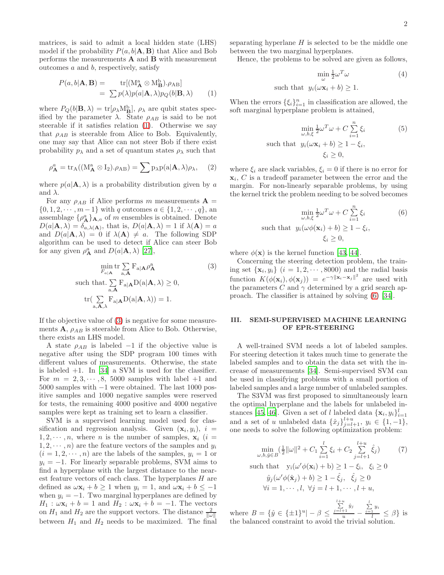matrices, is said to admit a local hidden state (LHS) model if the probability  $P(a, b | A, B)$  that Alice and Bob performs the measurements A and B with measurement outcomes a and b, respectively, satisfy

<span id="page-1-0"></span>
$$
P(a, b | \mathbf{A}, \mathbf{B}) = \text{tr}[(\mathbf{M}_{\mathbf{A}}^{a} \otimes \mathbf{M}_{\mathbf{B}}^{b}) \cdot \rho_{AB}]
$$
  
= 
$$
\sum p(\lambda) p(a | \mathbf{A}, \lambda) p_Q(b | \mathbf{B}, \lambda)
$$
 (1)

where  $P_Q(b|\mathbf{B},\lambda) = \text{tr}[\rho_\lambda \text{M}_{\mathbf{B}}^{\text{b}}], \rho_\lambda$  are qubit states specified by the parameter  $\lambda$ . State  $\rho_{AB}$  is said to be not steerable if it satisfies relation [\(1\)](#page-1-0). Otherwise we say that  $\rho_{AB}$  is steerable from Alice to Bob. Equivalently, one may say that Alice can not steer Bob if there exist probability  $p_{\lambda}$  and a set of quantum states  $\rho_{\lambda}$  such that

$$
\rho_{\mathbf{A}}^a = \text{tr}_{A}((M_{\mathbf{A}}^a \otimes I_2). \rho_{AB}) = \sum p_{\lambda} p(a|\mathbf{A}, \lambda) \rho_{\lambda}, \quad (2)
$$

where  $p(a|\mathbf{A}, \lambda)$  is a probability distribution given by a and  $\lambda$ .

For any  $\rho_{AB}$  if Alice performs m measurements  $\mathbf{A} =$  $\{0, 1, 2, \dots, m-1\}$  with q outcomes  $a \in \{1, 2, \dots, q\}$ , an assemblage  $\{\rho_{\mathbf{A}}^a\}_{\mathbf{A},a}$  of m ensembles is obtained. Denote  $D(a|\mathbf{A},\lambda) = \delta_{a,\lambda(\mathbf{A})}$ , that is,  $D(a|\mathbf{A},\lambda) = 1$  if  $\lambda(\mathbf{A}) = a$ and  $D(a|\mathbf{A},\lambda) = 0$  if  $\lambda(\mathbf{A}) \neq a$ . The following SDP algorithm can be used to detect if Alice can steer Bob for any given  $\rho^a_{\mathbf{A}}$  and  $D(a|\mathbf{A},\lambda)$  [\[27\]](#page-7-10),

<span id="page-1-1"></span>
$$
\min_{F_{a|\mathbf{A}}} \operatorname{tr} \sum_{\mathbf{a}, \mathbf{A}} \operatorname{F}_{\mathbf{a}|\mathbf{A}} \rho_{\mathbf{A}}^{a}
$$
(3)  
such that. 
$$
\sum_{\mathbf{a}, \mathbf{A}} \operatorname{F}_{\mathbf{a}|\mathbf{A}} D(\mathbf{a}|\mathbf{A}, \lambda) \ge 0,
$$

$$
\operatorname{tr} \left( \sum_{\mathbf{a}, \mathbf{A}, \lambda} \operatorname{F}_{\mathbf{a}|\mathbf{A}} D(\mathbf{a}|\mathbf{A}, \lambda) \right) = 1.
$$

If the objective value of [\(3\)](#page-1-1) is negative for some measurements  $\mathbf{A}$ ,  $\rho_{AB}$  is steerable from Alice to Bob. Otherwise, there exists an LHS model.

A state  $\rho_{AB}$  is labeled −1 if the objective value is negative after using the SDP program 100 times with different values of measurements. Otherwise, the state is labeled  $+1$ . In [\[34\]](#page-7-13) a SVM is used for the classifier. For  $m = 2, 3, \dots, 8, 5000$  samples with label  $+1$  and 5000 samples with −1 were obtained. The last 1000 positive samples and 1000 negative samples were reserved for tests, the remaining 4000 positive and 4000 negative samples were kept as training set to learn a classifier.

SVM is a supervised learning model used for classification and regression analysis. Given  $(\mathbf{x}_i, y_i)$ ,  $i =$  $1, 2, \dots, n$ , where *n* is the number of samples,  $\mathbf{x}_i$  (*i* =  $1, 2, \dots, n$  are the feature vectors of the samples and  $y_i$  $(i = 1, 2, \dots, n)$  are the labels of the samples,  $y_i = 1$  or  $y_i = -1$ . For linearly separable problems, SVM aims to find a hyperplane with the largest distance to the nearest feature vectors of each class. The hyperplanes  $H$  are defined as  $\omega \mathbf{x}_i + b \ge 1$  when  $y_i = 1$ , and  $\omega \mathbf{x}_i + b \le -1$ when  $y_i = -1$ . Two marginal hyperplanes are defined by  $H_1$  :  $\omega \mathbf{x}_i + b = 1$  and  $H_2$  :  $\omega \mathbf{x}_i + b = -1$ . The vectors on  $H_1$  and  $H_2$  are the support vectors. The distance  $\frac{2}{\|\omega\|}$ between  $H_1$  and  $H_2$  needs to be maximized. The final

separating hyperlane  $H$  is selected to be the middle one between the two marginal hyperplanes.

Hence, the problems to be solved are given as follows,

$$
\min_{\omega} \frac{1}{2} \omega^T \omega \tag{4}
$$

such that  $y_i(\omega \mathbf{x}_i + b) \geq 1$ .

When the errors  $\{\xi_i\}_{i=1}^n$  in classification are allowed, the soft marginal hyperplane problem is attained,

$$
\min_{\omega, b, \xi} \frac{1}{2} \omega^T \omega + C \sum_{i=1}^n \xi_i
$$
\nsuch that

\n
$$
y_i(\omega \mathbf{x}_i + b) \geq 1 - \xi_i,
$$
\n
$$
\xi_i \geq 0,
$$
\n(5)

where  $\xi_i$  are slack variables,  $\xi_i = 0$  if there is no error for  $\mathbf{x}_i$ ,  $C$  is a tradeoff parameter between the error and the margin. For non-linearly separable problems, by using the kernel trick the problem needing to be solved becomes

<span id="page-1-2"></span>
$$
\min_{\omega, b, \xi} \frac{1}{2} \omega^T \omega + C \sum_{i=1}^n \xi_i
$$
\nsuch that

\n
$$
y_i(\omega \phi(\mathbf{x}_i) + b) \geq 1 - \xi_i,
$$
\n
$$
\xi_i \geq 0,
$$

where  $\phi(\mathbf{x})$  is the kernel function [\[43](#page-7-19), [44](#page-7-20)].

Concerning the steering detection problem, the training set  $\{x_i, y_i\}$   $(i = 1, 2, \dots, 8000)$  and the radial basis function  $K(\phi(\mathbf{x}_i), \phi(\mathbf{x}_j)) = e^{-\gamma ||\mathbf{x}_i - \mathbf{x}_j||^2}$  are used with the parameters C and  $\gamma$  determined by a grid search approach. The classifier is attained by solving [\(6\)](#page-1-2) [\[34](#page-7-13)].

### III. SEMI-SUPERVISED MACHINE LEARNING OF EPR-STEERING

A well-trained SVM needs a lot of labeled samples. For steering detection it takes much time to generate the labeled samples and to obtain the data set with the increase of measurements [\[34\]](#page-7-13). Semi-supervised SVM can be used in classifying problems with a small portion of labeled samples and a large number of unlabeled samples.

The S3VM was first proposed to simultaneously learn the optimal hyperplane and the labels for unlabeled in-stances [\[45](#page-7-21), [46](#page-7-22)]. Given a set of l labeled data  $\{\mathbf x_i, y_i\}_{i=1}^l$ and a set of u unlabeled data  $\{\hat{x}_j\}_{j=l+1}^{l+u}, y_i \in \{1, -1\},$ one needs to solve the following optimization problem:

$$
\min_{\omega, b, \hat{y} \in B} (\frac{1}{2} ||\omega||^2 + C_1 \sum_{i=1}^l \xi_i + C_2 \sum_{j=l+1}^{l+u} \hat{\xi}_j)
$$
(7)  
such that  $y_i(\omega' \phi(\mathbf{x}_i) + b) \ge 1 - \xi_i, \xi_i \ge 0$   
 $\hat{y}_j(\omega' \phi(\hat{\mathbf{x}}_j) + b) \ge 1 - \hat{\xi}_j, \hat{\xi}_j \ge 0$   
 $\forall i = 1, \dots, l, \forall j = l+1, \dots, l+u,$ 

where  $B = \{\hat{y} \in \{\pm 1\}^u | - \beta \leq \pi\}$  $\sum_{j=l+1}^{l+u} \hat{y}_j$  $\frac{+1}{u}$  –  $\sum_{i=1}^l y_i$  $\frac{1}{l} \leq \beta$  is the balanced constraint to avoid the trivial solution.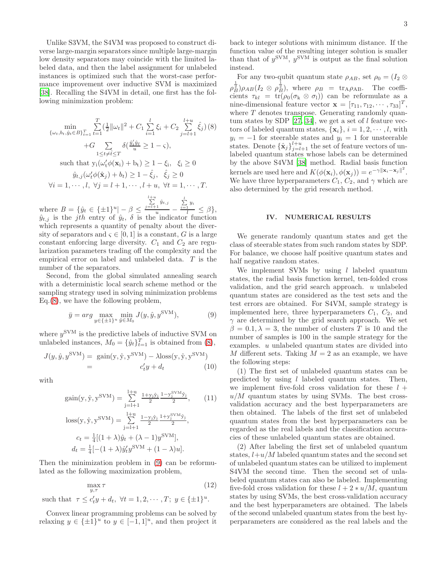Unlike S3VM, the S4VM was proposed to construct diverse large-margin separators since multiple large-margin low density separators may coincide with the limited labeled data, and then the label assignment for unlabeled instances is optimized such that the worst-case performance improvement over inductive SVM is maximized [\[38\]](#page-7-16). Recalling the S4VM in detail, one first has the following minimization problem:

<span id="page-2-0"></span>
$$
\min_{\{\omega_t, b_t, \hat{y}_t \in B\}_{t=1}^T} \sum_{t=1}^T \left(\frac{1}{2} ||\omega_t||^2 + C_1 \sum_{i=1}^l \xi_i + C_2 \sum_{j=l+1}^{l+u} \hat{\xi}_j\right)(8) \n+ G \sum_{1 \le t \ne \tilde{t} \le T} \delta\left(\frac{\hat{y}'_t \hat{y}_t}{u} \ge 1 - \varsigma\right),
$$
\nsuch that  $y_i(\omega'_t \phi(\mathbf{x}_i) + b_t) \ge 1 - \xi_i, \quad \xi_i \ge 0$   
\n $\hat{y}_{t,j}(\omega'_t \phi(\hat{\mathbf{x}}_j) + b_t) \ge 1 - \hat{\xi}_j, \quad \hat{\xi}_j \ge 0$   
\n $\forall i = 1, \dots, l, \forall j = l+1, \dots, l+u, \forall t = 1, \dots, T.$ 

where  $B = {\hat{y}_t \in {\pm 1}^u | - \beta \leq \}$  $\sum_{j=l+1}^{l+u} \hat{y}_{t,j}$  $\frac{1}{u}$  –  $\sum_{i=1}^l y_i$  $\frac{1}{l} \leq \beta$ ,  $\hat{y}_{t,j}$  is the *j*th entry of  $\hat{y}_t$ ,  $\delta$  is the indicator function which represents a quantity of penalty about the diversity of separators and  $\varsigma \in [0,1]$  is a constant, G is a large constant enforcing large diversity.  $C_1$  and  $C_2$  are regularization parameters trading off the complexity and the empirical error on label and unlabeled data. T is the number of the separators.

Second, from the global simulated annealing search with a deterministic local search scheme method or the sampling strategy used in solving minimization problems Eq.[\(8\)](#page-2-0), we have the following problem,

<span id="page-2-1"></span>
$$
\bar{y} = arg \max_{y \in \{\pm 1\}^u} \min_{\hat{y} \in M_0} J(y, \hat{y}, y^{\text{SVM}}), \tag{9}
$$

where  $y^{\text{SVM}}$  is the predictive labels of inductive SVM on unlabeled instances,  $M_0 = {\hat{y}_t}_{t=1}^T$  is obtained from [\(8\)](#page-2-0),

$$
J(y, \hat{y}, y^{\text{SVM}}) = \text{gain}(y, \hat{y}, y^{\text{SVM}}) - \lambda \text{loss}(y, \hat{y}, y^{\text{SVM}})
$$
  
= 
$$
c_t'y + d_t
$$
 (10)

with

$$
gain(y, \hat{y}, y^{SVM}) = \sum_{j=1+1}^{l+u} \frac{1+y_j \hat{y}_j}{2} \frac{1-y_j^{SVM} \hat{y}_j}{2},
$$
(11)  

$$
loss(y, \hat{y}, y^{SVM}) = \sum_{j=l+1}^{l+u} \frac{1-y_j \hat{y}_j}{2} \frac{1+y_j^{SVM} \hat{y}_j}{2},
$$
  

$$
c_t = \frac{1}{4}[(1+\lambda)\hat{y}_t + (\lambda - 1)y^{SVM}],
$$
  

$$
d_t = \frac{1}{4}[-(1+\lambda)\hat{y}_t' y^{SVM} + (1-\lambda)u].
$$

Then the minimization problem in [\(9\)](#page-2-1) can be reformulated as the following maximization problem,

$$
\max_{y,\tau} \tau \tag{12}
$$

such that  $\tau \leq c'_t y + d_t, \ \forall t = 1, 2, \cdots, T; \ y \in {\{\pm 1\}}^u.$ 

Convex linear programming problems can be solved by relaxing  $y \in {\{\pm 1\}}^u$  to  $y \in [-1, 1]^u$ , and then project it back to integer solutions with minimum distance. If the function value of the resulting integer solution is smaller than that of  $y^{\text{SVM}}$ ,  $y^{\text{SVM}}$  is output as the final solution instead.

For any two-qubit quantum state  $\rho_{AB}$ , set  $\rho_0 = (I_2 \otimes$  $\rho_B^{\frac{1}{2}}$ ) $\rho_{AB}(I_2 \otimes \rho_B^{\frac{1}{2}})$ , where  $\rho_B = \text{tr}_{A}\rho_{AB}$ . The coefficients  $\tau_{kl} = \text{tr}(\rho_0(\sigma_k \otimes \sigma_l))$  can be reformulate as a nine-dimensional feature vector  $\mathbf{x} = [\tau_{11}, \tau_{12}, \cdots, \tau_{33}]^T$ , where T denotes transpose. Generating randomly quan-tum states by SDP [\[27](#page-7-10), [34](#page-7-13)], we get a set of  $l$  feature vectors of labeled quantum states,  $\{x_i\}, i = 1, 2, \dots, l$ , with  $y_i = -1$  for steerable states and  $y_i = 1$  for unsteerable states. Denote  $\{\hat{\mathbf{x}}_j\}_{j=l+1}^{l+u}$  the set of feature vectors of unlabeled quantum states whose labels can be determined by the above S4VM [\[38](#page-7-16)] method. Radial basis function kernels are used here and  $K(\phi(\mathbf{x}_i), \phi(\mathbf{x}_j)) = e^{-\gamma ||\mathbf{x}_i - \mathbf{x}_j||^2}$ . We have three hyperparameters  $C_1, C_2,$  and  $\gamma$  which are also determined by the grid research method.

### IV. NUMERICAL RESULTS

We generate randomly quantum states and get the class of steerable states from such random states by SDP. For balance, we choose half positive quantum states and half negative random states.

We implement SVMs by using  $l$  labeled quantum states, the radial basis function kernel, ten-folded cross validation, and the grid search approach. u unlabeled quantum states are considered as the test sets and the test errors are obtained. For S4VM, sample strategy is implemented here, three hyperparameters  $C_1$ ,  $C_2$ , and  $\gamma$  are determined by the grid search approach. We set  $\beta = 0.1, \lambda = 3$ , the number of clusters T is 10 and the number of samples is 100 in the sample strategy for the examples. u unlabeled quantum states are divided into M different sets. Taking  $M = 2$  as an example, we have the following steps:

(1) The first set of unlabeled quantum states can be predicted by using  $l$  labeled quantum states. Then, we implement five-fold cross validation for these  $l +$  $u/M$  quantum states by using SVMs. The best crossvalidation accuracy and the best hyperparameters are then obtained. The labels of the first set of unlabeled quantum states from the best hyperparameters can be regarded as the real labels and the classification accuracies of these unlabeled quantum states are obtained.

(2) After labeling the first set of unlabeled quantum states,  $l+u/M$  labeled quantum states and the second set of unlabeled quantum states can be utilized to implement S4VM the second time. Then the second set of unlabeled quantum states can also be labeled. Implementing five-fold cross validation for these  $l + 2 * u/M$ , quantum states by using SVMs, the best cross-validation accuracy and the best hyperparameters are obtained. The labels of the second unlabeled quantum states from the best hyperparameters are considered as the real labels and the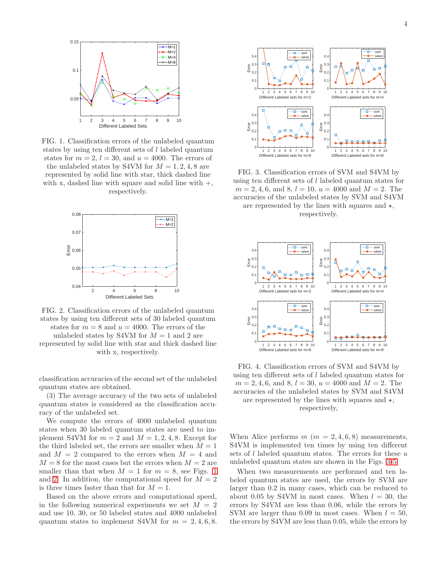<span id="page-3-0"></span>

FIG. 1. Classification errors of the unlabeled quantum states by using ten different sets of l labeled quantum states for  $m = 2$ ,  $l = 30$ , and  $u = 4000$ . The errors of the unlabeled states by S4VM for  $M = 1, 2, 4, 8$  are represented by solid line with star, thick dashed line with x, dashed line with square and solid line with  $+,$ respectively.

<span id="page-3-1"></span>

FIG. 2. Classification errors of the unlabeled quantum states by using ten different sets of 30 labeled quantum states for  $m = 8$  and  $u = 4000$ . The errors of the unlabeled states by S4VM for  $M = 1$  and 2 are

represented by solid line with star and thick dashed line with x, respectively.

classification accuracies of the second set of the unlabeled quantum states are obtained.

(3) The average accuracy of the two sets of unlabeled quantum states is considered as the classification accuracy of the unlabeled set.

We compute the errors of 4000 unlabeled quantum states when 30 labeled quantum states are used to implement S4VM for  $m = 2$  and  $M = 1, 2, 4, 8$ . Except for the third labeled set, the errors are smaller when  $M = 1$ and  $M = 2$  compared to the errors when  $M = 4$  and  $M = 8$  for the most cases but the errors when  $M = 2$  are smaller than that when  $M = 1$  $M = 1$  for  $m = 8$ , see Figs. 1 and [2.](#page-3-1) In addition, the computational speed for  $M = 2$ is three times faster than that for  $M = 1$ .

Based on the above errors and computational speed, in the following numerical experiments we set  $M = 2$ and use 10, 30, or 50 labeled states and 4000 unlabeled quantum states to implement S4VM for  $m = 2, 4, 6, 8$ .

<span id="page-3-2"></span>

FIG. 3. Classification errors of SVM and S4VM by using ten different sets of l labeled quantum states for  $m = 2, 4, 6, \text{ and } 8, l = 10, u = 4000 \text{ and } M = 2.$  The accuracies of the unlabeled states by SVM and S4VM are represented by the lines with squares and  $\star$ , respectively.



FIG. 4. Classification errors of SVM and S4VM by using ten different sets of l labeled quantum states for  $m = 2, 4, 6, \text{ and } 8, l = 30, u = 4000 \text{ and } M = 2.$  The accuracies of the unlabeled states by SVM and S4VM are represented by the lines with squares and  $\star$ , respectively,

When Alice performs  $m (m = 2, 4, 6, 8)$  measurements, S4VM is implemented ten times by using ten different sets of l labeled quantum states. The errors for these  $u$ unlabeled quantum states are shown in the Figs. [3-](#page-3-2)[5.](#page-4-0)

When two measurements are performed and ten labeled quantum states are used, the errors by SVM are larger than 0.2 in many cases, which can be reduced to about 0.05 by S4VM in most cases. When  $l = 30$ , the errors by S4VM are less than 0.06, while the errors by SVM are larger than 0.09 in most cases. When  $l = 50$ , the errors by S4VM are less than 0.05, while the errors by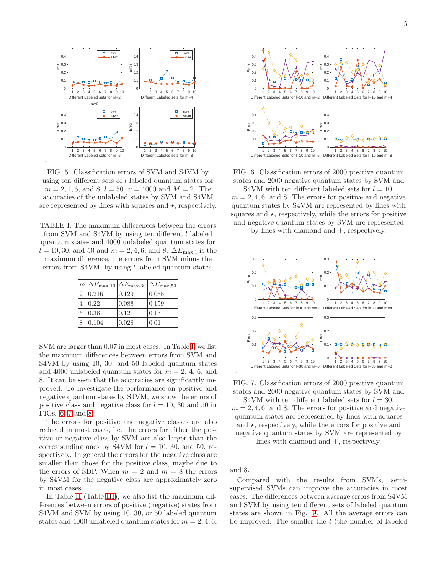<span id="page-4-0"></span>

FIG. 5. Classification errors of SVM and S4VM by using ten different sets of l labeled quantum states for  $m = 2, 4, 6, \text{ and } 8, l = 50, u = 4000 \text{ and } M = 2.$  The accuracies of the unlabeled states by SVM and S4VM are represented by lines with squares and  $\star$ , respectively.

<span id="page-4-1"></span>TABLE I. The maximum differences between the errors from SVM and S4VM by using ten different l labeled quantum states and 4000 unlabeled quantum states for  $l = 10, 30, \text{ and } 50 \text{ and } m = 2, 4, 6, \text{ and } 8. \Delta E_{\text{max},l}$  is the maximum difference, the errors from SVM minus the

errors from S4VM, by using *l* labeled quantum states.

|   | $ m \Delta E_{\rm max,10}$ | $\Delta E_{\rm max,30}$ | $\Delta E_{\rm max,50}$ |
|---|----------------------------|-------------------------|-------------------------|
|   | 0.216                      | 0.129                   | 0.055                   |
|   | 0.22                       | 0.088                   | 0.159                   |
| 6 | 0.36                       | 0.12                    | 0.13                    |
|   | 0.104                      | 0.028                   | 0.01                    |

SVM are larger than 0.07 in most cases. In Table [I,](#page-4-1) we list the maximum differences between errors from SVM and S4VM by using 10, 30, and 50 labeled quantum states and 4000 unlabeled quantum states for  $m = 2, 4, 6$ , and 8. It can be seen that the accuracies are significantly improved. To investigate the performance on positive and negative quantum states by S4VM, we show the errors of positive class and negative class for  $l = 10$ , 30 and 50 in FIGs. [6,](#page-4-2) [7](#page-4-3) and [8.](#page-5-0)

The errors for positive and negative classes are also reduced in most cases, i.e. the errors for either the positive or negative class by SVM are also larger than the corresponding ones by S4VM for  $l = 10$ , 30, and 50, respectively. In general the errors for the negative class are smaller than those for the positive class, maybe due to the errors of SDP. When  $m = 2$  and  $m = 8$  the errors by S4VM for the negative class are approximately zero in most cases.

In Table [II](#page-5-1) (Table [III\)](#page-5-2), we also list the maximum differences between errors of positive (negative) states from S4VM and SVM by using 10, 30, or 50 labeled quantum states and 4000 unlabeled quantum states for  $m = 2, 4, 6$ ,

<span id="page-4-2"></span>

FIG. 6. Classification errors of 2000 positive quantum states and 2000 negative quantum states by SVM and

S4VM with ten different labeled sets for  $l = 10$ ,  $m = 2, 4, 6$ , and 8. The errors for positive and negative quantum states by S4VM are represented by lines with squares and  $\star$ , respectively, while the errors for positive and negative quantum states by SVM are represented

by lines with diamond and +, respectively.

<span id="page-4-3"></span>

FIG. 7. Classification errors of 2000 positive quantum states and 2000 negative quantum states by SVM and

S4VM with ten different labeled sets for  $l = 30$ ,  $m = 2, 4, 6$ , and 8. The errors for positive and negative quantum states are represented by lines with squares and  $\star$ , respectively, while the errors for positive and negative quantum states by SVM are represented by lines with diamond and +, respectively.

and 8.

Compared with the results from SVMs, semisupervised SVMs can improve the accuracies in most cases. The differences between average errors from S4VM and SVM by using ten different sets of labeled quantum states are shown in Fig. [9.](#page-5-3) All the average errors can be improved. The smaller the l (the number of labeled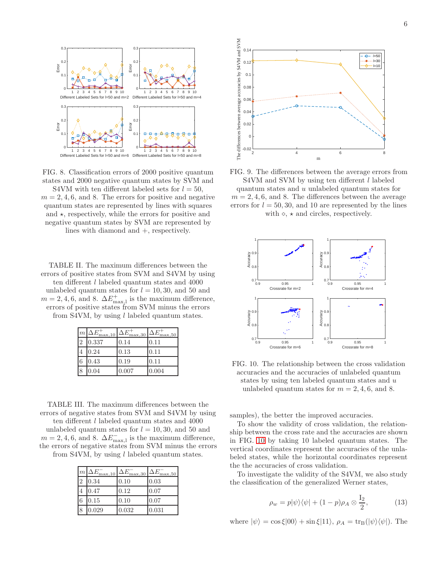<span id="page-5-0"></span>

FIG. 8. Classification errors of 2000 positive quantum states and 2000 negative quantum states by SVM and

S4VM with ten different labeled sets for  $l = 50$ ,  $m = 2, 4, 6$ , and 8. The errors for positive and negative quantum states are represented by lines with squares and  $\star$ , respectively, while the errors for positive and negative quantum states by SVM are represented by lines with diamond and +, respectively.

<span id="page-5-1"></span>TABLE II. The maximum differences between the errors of positive states from SVM and S4VM by using ten different l labeled quantum states and 4000 unlabeled quantum states for  $l = 10, 30$ , and 50 and  $m = 2, 4, 6$ , and 8.  $\Delta E_{\text{max},l}^+$  is the maximum difference, errors of positive states from SVM minus the errors from S4VM, by using  $l$  labeled quantum states.

| m              | $\Delta E_{\rm max,10}^{+}$ | $\Delta E$<br>max,30 | $\Delta E$<br>max, 50 |
|----------------|-----------------------------|----------------------|-----------------------|
| $\overline{2}$ | 0.337                       | 0.14                 | 0.11                  |
|                | 0.24                        | 0.13                 | 0.11                  |
|                | 0.43                        | 0.19                 | 0.11                  |
|                | 0.04                        | 0.007                | 0.004                 |

<span id="page-5-2"></span>TABLE III. The maximum differences between the errors of negative states from SVM and S4VM by using

ten different l labeled quantum states and 4000 unlabeled quantum states for  $l = 10, 30$ , and 50 and  $m = 2, 4, 6$ , and 8.  $\Delta E_{\text{max,}1}^-$  is the maximum difference, the errors of negative states from SVM minus the errors from S4VM, by using  $l$  labeled quantum states.

| $\mathfrak{m}$ | $\Delta E$<br>max, 10 | \ E<br>max,30 | \ E<br>max, 50 |
|----------------|-----------------------|---------------|----------------|
|                | 0.34                  | 0.10          | 0.03           |
| 4              | 0.47                  | 0.12          | 0.07           |
| 6              | 0.15                  | 0.10          | 0.07           |
|                | 0.029                 | 0.032         | 0.031          |

<span id="page-5-3"></span>

FIG. 9. The differences between the average errors from S4VM and SVM by using ten different l labeled

quantum states and u unlabeled quantum states for  $m = 2, 4, 6,$  and 8. The differences between the average errors for  $l = 50, 30,$  and 10 are represented by the lines with  $\diamond$ ,  $\star$  and circles, respectively.

<span id="page-5-4"></span>

FIG. 10. The relationship between the cross validation accuracies and the accuracies of unlabeled quantum states by using ten labeled quantum states and u unlabeled quantum states for  $m = 2, 4, 6,$  and 8.

samples), the better the improved accuracies.

To show the validity of cross validation, the relationship between the cross rate and the accuracies are shown in FIG. [10](#page-5-4) by taking 10 labeled quantum states. The vertical coordinates represent the accuracies of the unlabeled states, while the horizontal coordinates represent the the accuracies of cross validation.

To investigate the validity of the S4VM, we also study the classification of the generalized Werner states,

$$
\rho_w = p|\psi\rangle\langle\psi| + (1 - p)\rho_A \otimes \frac{I_2}{2},\tag{13}
$$

where  $|\psi\rangle = \cos \xi |00\rangle + \sin \xi |11\rangle$ ,  $\rho_A = \text{tr}_{B}(|\psi\rangle \langle \psi|)$ . The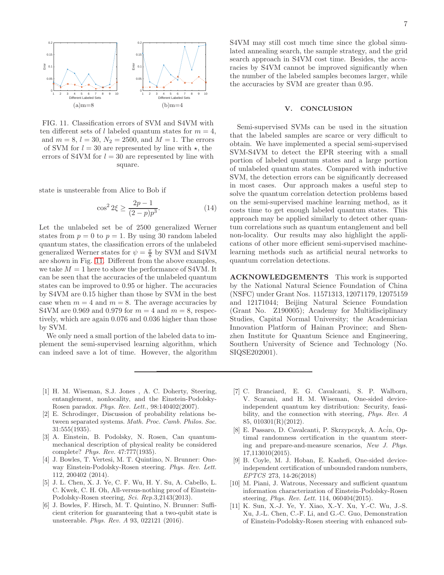<span id="page-6-11"></span>

FIG. 11. Classification errors of SVM and S4VM with ten different sets of l labeled quantum states for  $m = 4$ , and  $m = 8$ ,  $l = 30$ ,  $N_2 = 2500$ , and  $M = 1$ . The errors of SVM for  $l = 30$  are represented by line with  $\star$ , the errors of S4VM for  $l = 30$  are represented by line with square.

state is unsteerable from Alice to Bob if

$$
\cos^2 2\xi \ge \frac{2p-1}{(2-p)p^3}.\tag{14}
$$

Let the unlabeled set be of 2500 generalized Werner states from  $p = 0$  to  $p = 1$ . By using 30 random labeled quantum states, the classification errors of the unlabeled generalized Werner states for  $\psi = \frac{\pi}{8}$  by SVM and S4VM are shown in Fig. [11.](#page-6-11) Different from the above examples, we take  $M = 1$  here to show the performance of S4VM. It can be seen that the accuracies of the unlabeled quantum states can be improved to 0.95 or higher. The accuracies by S4VM are 0.15 higher than those by SVM in the best case when  $m = 4$  and  $m = 8$ . The average accuracies by S4VM are 0.969 and 0.979 for  $m = 4$  and  $m = 8$ , respectively, which are again 0.076 and 0.036 higher than those by SVM.

We only need a small portion of the labeled data to implement the semi-supervised learning algorithm, which can indeed save a lot of time. However, the algorithm S4VM may still cost much time since the global simulated annealing search, the sample strategy, and the grid search approach in S4VM cost time. Besides, the accuracies by S4VM cannot be improved significantly when the number of the labeled samples becomes larger, while the accuracies by SVM are greater than 0.95.

#### V. CONCLUSION

Semi-supervised SVMs can be used in the situation that the labeled samples are scarce or very difficult to obtain. We have implemented a special semi-supervised SVM-S4VM to detect the EPR steering with a small portion of labeled quantum states and a large portion of unlabeled quantum states. Compared with inductive SVM, the detection errors can be significantly decreased in most cases. Our approach makes a useful step to solve the quantum correlation detection problems based on the semi-supervised machine learning method, as it costs time to get enough labeled quantum states. This approach may be applied similarly to detect other quantum correlations such as quantum entanglement and bell non-locality. Our results may also highlight the applications of other more efficient semi-supervised machinelearning methods such as artificial neural networks to quantum correlation detections.

ACKNOWLEDGEMENTS This work is supported by the National Natural Science Foundation of China (NSFC) under Grant Nos. 11571313, 12071179, 12075159 and 12171044; Beijing Natural Science Foundation (Grant No. Z190005); Academy for Multidisciplinary Studies, Capital Normal University; the Academician Innovation Platform of Hainan Province; and Shenzhen Institute for Quantum Science and Engineering, Southern University of Science and Technology (No. SIQSE202001).

- <span id="page-6-0"></span>[1] H. M. Wiseman, S.J. Jones , A. C. Doherty, Steering, entanglement, nonlocality, and the Einstein-Podolsky-Rosen paradox. Phys. Rev. Lett., 98:140402(2007).
- <span id="page-6-1"></span>[2] E. Schrodinger, Discussion of probability relations between separated systems. Math. Proc. Camb. Philos. Soc. 31:555(1935).
- <span id="page-6-2"></span>[3] A. Einstein, B. Podolsky, N. Rosen, Can quantummechanical description of physical reality be considered complete? Phys. Rev. 47:777(1935).
- <span id="page-6-3"></span>[4] J. Bowles, T. Vertesi, M. T. Quintino, N. Brunner: Oneway Einstein-Podolsky-Rosen steering. Phys. Rev. Lett. 112, 200402 (2014).
- <span id="page-6-10"></span>[5] J. L. Chen, X. J. Ye, C. F. Wu, H. Y. Su, A. Cabello, L. C. Kwek, C. H. Oh, All-versus-nothing proof of Einstein-Podolsky-Rosen steering, Sci. Rep.3,2143(2013).
- <span id="page-6-4"></span>[6] J. Bowles, F. Hirsch, M. T. Quintino, N. Brunner: Sufficient criterion for guaranteeing that a two-qubit state is unsteerable. Phys. Rev. A 93, 022121 (2016).
- <span id="page-6-5"></span>[7] C. Branciard, E. G. Cavalcanti, S. P. Walborn, V. Scarani, and H. M. Wiseman, One-sided deviceindependent quantum key distribution: Security, feasibility, and the connection with steering, Phys. Rev. A 85, 010301(R)(2012).
- <span id="page-6-6"></span>[8] E. Passaro, D. Cavalcanti, P. Skrzypczyk, A. Acin, Optimal randomness certification in the quantum steering and prepare-and-measure scenarios, New J. Phys. 17,113010(2015).
- <span id="page-6-7"></span>[9] B. Coyle, M. J. Hoban, E. Kashefi, One-sided deviceindependent certification of unbounded random numbers, EPTCS 273, 14-26(2018)
- <span id="page-6-8"></span>[10] M. Piani, J. Watrous, Necessary and sufficient quantum information characterization of Einstein-Podolsky-Rosen steering, Phys. Rev. Lett. 114, 060404(2015).
- <span id="page-6-9"></span>[11] K. Sun, X.-J. Ye, Y. Xiao, X.-Y. Xu, Y.-C. Wu, J.-S. Xu, J.-L. Chen, C.-F. Li, and G.-C. Guo, Demonstration of Einstein-Podolsky-Rosen steering with enhanced sub-